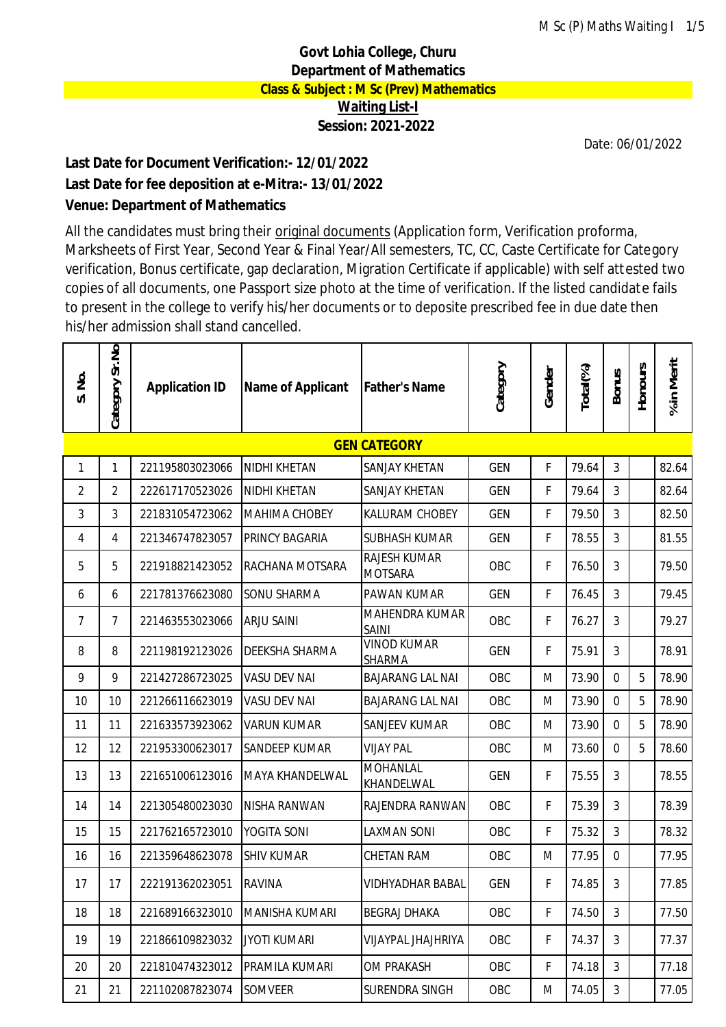## **Govt Lohia College, Churu Department of Mathematics Class & Subject : M Sc (Prev) Mathematics Waiting List-I Session: 2021-2022**

Date: 06/01/2022

## **Last Date for Document Verification:- 12/01/2022 Last Date for fee deposition at e-Mitra:- 13/01/2022 Venue: Department of Mathematics**

All the candidates must bring their original documents (Application form, Verification proforma, Marksheets of First Year, Second Year & Final Year/All semesters, TC, CC, Caste Certificate for Category verification, Bonus certificate, gap declaration, Migration Certificate if applicable) with self attested two copies of all documents, one Passport size photo at the time of verification. If the listed candidate fails to present in the college to verify his/her documents or to deposite prescribed fee in due date then his/her admission shall stand cancelled.

| S. No.         | Category Sr.No | <b>Application ID</b> | Name of Applicant    | <b>Father's Name</b>                  | Category   | Gender      | Total(%) | <b>Bonus</b>   | <b>Honours</b> | % in Merit |
|----------------|----------------|-----------------------|----------------------|---------------------------------------|------------|-------------|----------|----------------|----------------|------------|
|                |                |                       |                      | <b>GEN CATEGORY</b>                   |            |             |          |                |                |            |
| 1              | 1              | 221195803023066       | NIDHI KHETAN         | SANJAY KHETAN                         | <b>GEN</b> | F           | 79.64    | 3              |                | 82.64      |
| $\overline{2}$ | $\overline{2}$ | 222617170523026       | NIDHI KHETAN         | SANJAY KHETAN                         | <b>GEN</b> | F           | 79.64    | 3              |                | 82.64      |
| 3              | 3              | 221831054723062       | <b>MAHIMA CHOBEY</b> | KALURAM CHOBEY                        | <b>GEN</b> | F           | 79.50    | $\overline{3}$ |                | 82.50      |
| 4              | 4              | 221346747823057       | PRINCY BAGARIA       | SUBHASH KUMAR                         | GEN        | F           | 78.55    | 3              |                | 81.55      |
| 5              | 5              | 221918821423052       | RACHANA MOTSARA      | <b>RAJESH KUMAR</b><br><b>MOTSARA</b> | OBC        | F           | 76.50    | 3              |                | 79.50      |
| 6              | 6              | 221781376623080       | <b>SONU SHARMA</b>   | PAWAN KUMAR                           | <b>GEN</b> | $\mathsf F$ | 76.45    | 3              |                | 79.45      |
| 7              | 7              | 221463553023066       | <b>ARJU SAINI</b>    | MAHENDRA KUMAR<br><b>SAINI</b>        | OBC        | F           | 76.27    | 3              |                | 79.27      |
| 8              | 8              | 221198192123026       | DEEKSHA SHARMA       | <b>VINOD KUMAR</b><br>SHARMA          | <b>GEN</b> | F           | 75.91    | 3              |                | 78.91      |
| 9              | 9              | 221427286723025       | <b>VASU DEV NAI</b>  | <b>BAJARANG LAL NAI</b>               | OBC        | M           | 73.90    | $\mathbf{0}$   | 5              | 78.90      |
| 10             | 10             | 221266116623019       | VASU DEV NAI         | <b>BAJARANG LAL NAI</b>               | OBC        | M           | 73.90    | $\mathbf 0$    | 5              | 78.90      |
| 11             | 11             | 221633573923062       | <b>VARUN KUMAR</b>   | <b>SANJEEV KUMAR</b>                  | OBC        | M           | 73.90    | $\overline{0}$ | 5              | 78.90      |
| 12             | 12             | 221953300623017       | <b>SANDEEP KUMAR</b> | <b>VIJAY PAL</b>                      | OBC        | M           | 73.60    | $\mathbf 0$    | 5              | 78.60      |
| 13             | 13             | 221651006123016       | MAYA KHANDELWAL      | <b>MOHANLAL</b><br>KHANDELWAL         | <b>GEN</b> | F           | 75.55    | 3              |                | 78.55      |
| 14             | 14             | 221305480023030       | NISHA RANWAN         | RAJENDRA RANWAN                       | OBC        | $\mathsf F$ | 75.39    | 3              |                | 78.39      |
| 15             | 15             | 221762165723010       | YOGITA SONI          | LAXMAN SONI                           | OBC        | F           | 75.32    | 3              |                | 78.32      |
| 16             | 16             | 221359648623078       | <b>SHIV KUMAR</b>    | CHETAN RAM                            | OBC        | M           | 77.95    | $\mathbf 0$    |                | 77.95      |
| 17             | 17             | 222191362023051       | <b>RAVINA</b>        | <b>VIDHYADHAR BABAL</b>               | GEN        | F           | 74.85    | 3              |                | 77.85      |
| 18             | 18             | 221689166323010       | MANISHA KUMARI       | BEGRAJ DHAKA                          | OBC        | F           | 74.50    | 3              |                | 77.50      |
| 19             | 19             | 221866109823032       | <b>JYOTI KUMARI</b>  | VIJAYPAL JHAJHRIYA                    | OBC        | F           | 74.37    | 3              |                | 77.37      |
| 20             | 20             | 221810474323012       | PRAMILA KUMARI       | OM PRAKASH                            | OBC        | F           | 74.18    | $\mathfrak{Z}$ |                | 77.18      |
| 21             | 21             | 221102087823074       | <b>SOMVEER</b>       | SURENDRA SINGH                        | OBC        | M           | 74.05    | $\mathfrak{Z}$ |                | 77.05      |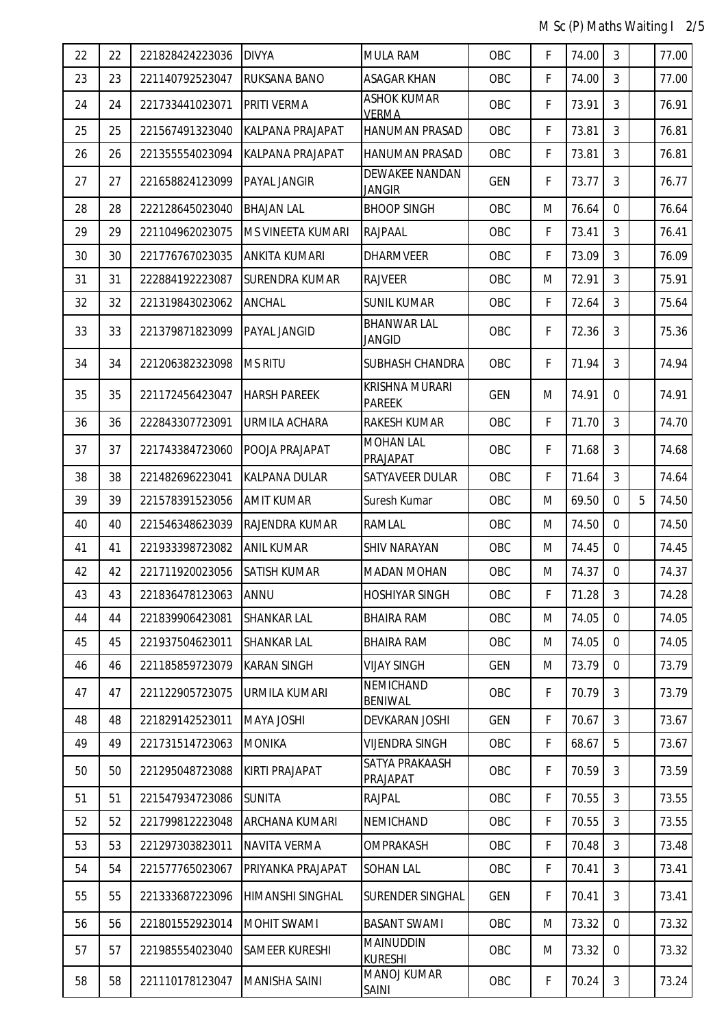M Sc (P) Maths Waiting I 2/5

| 22 | 22 | 221828424223036 | <b>DIVYA</b>            | <b>MULA RAM</b>                        | OBC        | F           | 74.00 | 3              |   | 77.00 |
|----|----|-----------------|-------------------------|----------------------------------------|------------|-------------|-------|----------------|---|-------|
| 23 | 23 | 221140792523047 | <b>RUKSANA BANO</b>     | <b>ASAGAR KHAN</b>                     | OBC        | $\mathsf F$ | 74.00 | $\mathfrak{Z}$ |   | 77.00 |
| 24 | 24 | 221733441023071 | <b>PRITI VERMA</b>      | <b>ASHOK KUMAR</b><br><b>VERMA</b>     | OBC        | F           | 73.91 | 3              |   | 76.91 |
| 25 | 25 | 221567491323040 | <b>KALPANA PRAJAPAT</b> | <b>HANUMAN PRASAD</b>                  | OBC        | F           | 73.81 | 3              |   | 76.81 |
| 26 | 26 | 221355554023094 | KALPANA PRAJAPAT        | HANUMAN PRASAD                         | OBC        | $\mathsf F$ | 73.81 | 3              |   | 76.81 |
| 27 | 27 | 221658824123099 | <b>PAYAL JANGIR</b>     | <b>DEWAKEE NANDAN</b><br>JANGIR        | <b>GEN</b> | F           | 73.77 | 3              |   | 76.77 |
| 28 | 28 | 222128645023040 | <b>BHAJAN LAL</b>       | <b>BHOOP SINGH</b>                     | OBC        | M           | 76.64 | $\mathbf{0}$   |   | 76.64 |
| 29 | 29 | 221104962023075 | MS VINEETA KUMARI       | <b>RAJPAAL</b>                         | OBC        | F           | 73.41 | $\mathfrak{Z}$ |   | 76.41 |
| 30 | 30 | 221776767023035 | <b>ANKITA KUMARI</b>    | <b>DHARMVEER</b>                       | OBC        | F           | 73.09 | 3              |   | 76.09 |
| 31 | 31 | 222884192223087 | <b>SURENDRA KUMAR</b>   | <b>RAJVEER</b>                         | OBC        | M           | 72.91 | 3              |   | 75.91 |
| 32 | 32 | 221319843023062 | ANCHAL                  | <b>SUNIL KUMAR</b>                     | OBC        | $\mathsf F$ | 72.64 | 3              |   | 75.64 |
| 33 | 33 | 221379871823099 | <b>PAYAL JANGID</b>     | <b>BHANWAR LAL</b><br><b>JANGID</b>    | OBC        | F           | 72.36 | 3              |   | 75.36 |
| 34 | 34 | 221206382323098 | <b>MS RITU</b>          | SUBHASH CHANDRA                        | OBC        | F           | 71.94 | 3              |   | 74.94 |
| 35 | 35 | 221172456423047 | <b>HARSH PAREEK</b>     | <b>KRISHNA MURARI</b><br><b>PAREEK</b> | <b>GEN</b> | M           | 74.91 | $\Omega$       |   | 74.91 |
| 36 | 36 | 222843307723091 | <b>URMILA ACHARA</b>    | <b>RAKESH KUMAR</b>                    | OBC        | F           | 71.70 | $\mathfrak{Z}$ |   | 74.70 |
| 37 | 37 | 221743384723060 | POOJA PRAJAPAT          | <b>MOHAN LAL</b><br>PRAJAPAT           | OBC        | F           | 71.68 | 3              |   | 74.68 |
| 38 | 38 | 221482696223041 | KALPANA DULAR           | SATYAVEER DULAR                        | OBC        | F           | 71.64 | 3              |   | 74.64 |
| 39 | 39 | 221578391523056 | <b>AMIT KUMAR</b>       | Suresh Kumar                           | OBC        | M           | 69.50 | $\mathbf{0}$   | 5 | 74.50 |
| 40 | 40 | 221546348623039 | RAJENDRA KUMAR          | RAMLAL                                 | OBC        | M           | 74.50 | $\mathbf{0}$   |   | 74.50 |
| 41 | 41 | 221933398723082 | <b>ANIL KUMAR</b>       | SHIV NARAYAN                           | OBC        | M           | 74.45 | $\mathbf{0}$   |   | 74.45 |
| 42 | 42 | 221711920023056 | <b>SATISH KUMAR</b>     | <b>MADAN MOHAN</b>                     | OBC        | M           | 74.37 | 0              |   | 74.37 |
| 43 | 43 | 221836478123063 | ANNU                    | <b>HOSHIYAR SINGH</b>                  | OBC        | F           | 71.28 | 3              |   | 74.28 |
| 44 | 44 | 221839906423081 | <b>SHANKAR LAL</b>      | <b>BHAIRA RAM</b>                      | OBC        | M           | 74.05 | $\Omega$       |   | 74.05 |
| 45 | 45 | 221937504623011 | <b>SHANKAR LAL</b>      | <b>BHAIRA RAM</b>                      | OBC        | M           | 74.05 | $\mathbf{0}$   |   | 74.05 |
| 46 | 46 | 221185859723079 | <b>KARAN SINGH</b>      | VIJAY SINGH                            | <b>GEN</b> | M           | 73.79 | $\Omega$       |   | 73.79 |
| 47 | 47 | 221122905723075 | URMILA KUMARI           | <b>NEMICHAND</b><br><b>BENIWAL</b>     | OBC        | F           | 70.79 | 3              |   | 73.79 |
| 48 | 48 | 221829142523011 | <b>MAYA JOSHI</b>       | DEVKARAN JOSHI                         | <b>GEN</b> | F           | 70.67 | 3              |   | 73.67 |
| 49 | 49 | 221731514723063 | <b>MONIKA</b>           | <b>VIJENDRA SINGH</b>                  | OBC        | $\mathsf F$ | 68.67 | 5              |   | 73.67 |
| 50 | 50 | 221295048723088 | <b>KIRTI PRAJAPAT</b>   | SATYA PRAKAASH<br>PRAJAPAT             | OBC        | F           | 70.59 | 3              |   | 73.59 |
| 51 | 51 | 221547934723086 | <b>SUNITA</b>           | <b>RAJPAL</b>                          | OBC        | F           | 70.55 | 3              |   | 73.55 |
| 52 | 52 | 221799812223048 | <b>ARCHANA KUMARI</b>   | NEMICHAND                              | OBC        | F           | 70.55 | 3              |   | 73.55 |
| 53 | 53 | 221297303823011 | <b>NAVITA VERMA</b>     | OMPRAKASH                              | OBC        | F           | 70.48 | 3              |   | 73.48 |
| 54 | 54 | 221577765023067 | PRIYANKA PRAJAPAT       | <b>SOHAN LAL</b>                       | OBC        | $\mathsf F$ | 70.41 | 3              |   | 73.41 |
| 55 | 55 | 221333687223096 | HIMANSHI SINGHAL        | <b>SURENDER SINGHAL</b>                | <b>GEN</b> | F           | 70.41 | 3              |   | 73.41 |
| 56 | 56 | 221801552923014 | MOHIT SWAMI             | <b>BASANT SWAMI</b>                    | OBC        | M           | 73.32 | $\mathbf 0$    |   | 73.32 |
| 57 | 57 | 221985554023040 | <b>SAMEER KURESHI</b>   | <b>MAINUDDIN</b><br><b>KURESHI</b>     | OBC        | M           | 73.32 | $\Omega$       |   | 73.32 |
| 58 | 58 | 221110178123047 | <b>MANISHA SAINI</b>    | <b>MANOJ KUMAR</b><br>SAINI            | OBC        | $\mathsf F$ | 70.24 | 3              |   | 73.24 |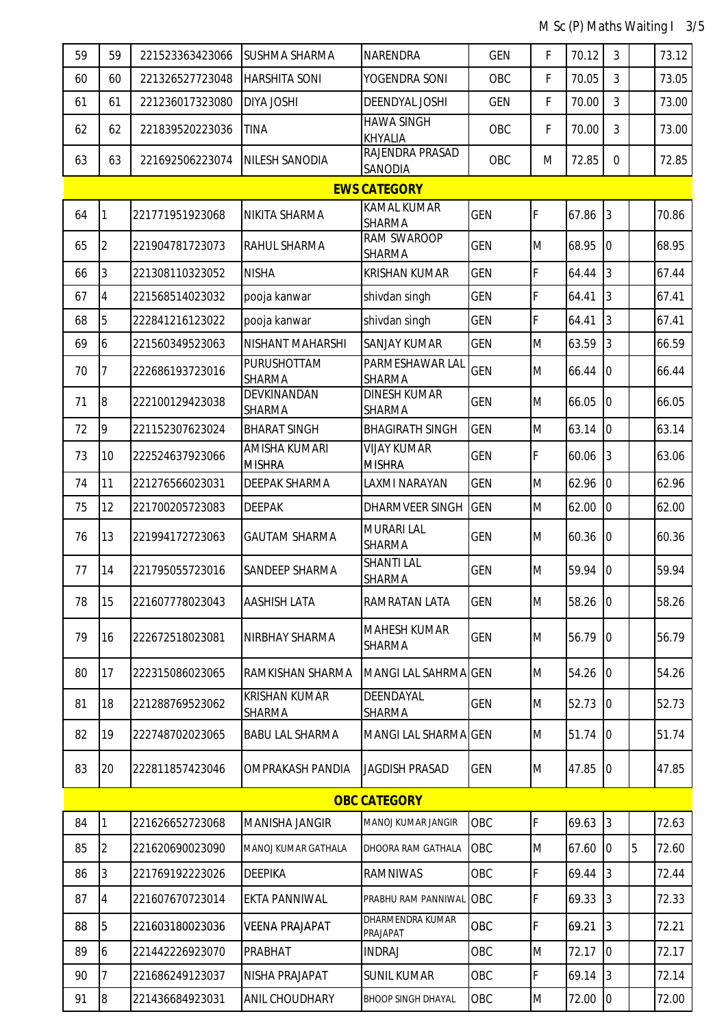M Sc (P) Maths Waiting I 3/5

| 59                  | 59              | 221523363423066 | <b>SUSHMA SHARMA</b>                  | <b>NARENDRA</b>                      | <b>GEN</b> | F | 70.12   | 3              |   | 73.12 |  |
|---------------------|-----------------|-----------------|---------------------------------------|--------------------------------------|------------|---|---------|----------------|---|-------|--|
| 60                  | 60              | 221326527723048 | <b>HARSHITA SONI</b>                  | YOGENDRA SONI                        | OBC        | F | 70.05   | 3              |   | 73.05 |  |
| 61                  | 61              | 221236017323080 | <b>DIYA JOSHI</b>                     | DEENDYAL JOSHI                       | <b>GEN</b> | F | 70.00   | 3              |   | 73.00 |  |
| 62                  | 62              | 221839520223036 | <b>TINA</b>                           | <b>HAWA SINGH</b><br>KHYALIA         | OBC        | F | 70.00   | 3              |   | 73.00 |  |
| 63                  | 63              | 221692506223074 | NILESH SANODIA                        | RAJENDRA PRASAD<br>SANODIA           | OBC        | M | 72.85   | $\mathbf 0$    |   | 72.85 |  |
| <b>EWS CATEGORY</b> |                 |                 |                                       |                                      |            |   |         |                |   |       |  |
| 64                  |                 | 221771951923068 | NIKITA SHARMA                         | KAMAL KUMAR<br><b>SHARMA</b>         | <b>GEN</b> | F | 67.86   | $\overline{3}$ |   | 70.86 |  |
| 65                  | 2               | 221904781723073 | RAHUL SHARMA                          | RAM SWAROOP<br>SHARMA                | <b>GEN</b> | M | 68.95   | $\mathbf 0$    |   | 68.95 |  |
| 66                  | 3               | 221308110323052 | <b>NISHA</b>                          | <b>KRISHAN KUMAR</b>                 | <b>GEN</b> | F | 64.44   | 3              |   | 67.44 |  |
| 67                  | $\overline{4}$  | 221568514023032 | pooja kanwar                          | shivdan singh                        | <b>GEN</b> | F | 64.41   | 3              |   | 67.41 |  |
| 68                  | 5               | 222841216123022 | pooja kanwar                          | shivdan singh                        | <b>GEN</b> | F | 64.41   | 3              |   | 67.41 |  |
| 69                  | 6               | 221560349523063 | NISHANT MAHARSHI                      | <b>SANJAY KUMAR</b>                  | <b>GEN</b> | M | 63.59   | 3              |   | 66.59 |  |
| 70                  | 7               | 222686193723016 | <b>PURUSHOTTAM</b><br>SHARMA          | PARMESHAWAR LAL<br>SHARMA            | <b>GEN</b> | M | 66.44   | $\mathbf 0$    |   | 66.44 |  |
| 71                  | $\overline{8}$  | 222100129423038 | DEVKINANDAN<br><b>SHARMA</b>          | <b>DINESH KUMAR</b><br>SHARMA        | <b>GEN</b> | M | 66.05   | $\overline{0}$ |   | 66.05 |  |
| 72                  | 9               | 221152307623024 | <b>BHARAT SINGH</b>                   | <b>BHAGIRATH SINGH</b>               | <b>GEN</b> | M | 63.14   | $\overline{0}$ |   | 63.14 |  |
| 73                  | 10 <sup>°</sup> | 222524637923066 | AMISHA KUMARI<br><b>MISHRA</b>        | <b>VIJAY KUMAR</b><br><b>MISHRA</b>  | <b>GEN</b> | F | 60.06   | 3              |   | 63.06 |  |
| 74                  | 11              | 221276566023031 | <b>DEEPAK SHARMA</b>                  | LAXMI NARAYAN                        | <b>GEN</b> | M | 62.96   | $\overline{0}$ |   | 62.96 |  |
| 75                  | 12              | 221700205723083 | <b>DEEPAK</b>                         | DHARMVEER SINGH                      | <b>GEN</b> | M | 62.00   | $\overline{0}$ |   | 62.00 |  |
| 76                  | 13              | 221994172723063 | <b>GAUTAM SHARMA</b>                  | <b>MURARI LAL</b><br><b>SHARMA</b>   | <b>GEN</b> | M | 60.36   | 0              |   | 60.36 |  |
| 77                  | 14              | 221795055723016 | SANDEEP SHARMA                        | <b>SHANTI LAL</b><br>SHARMA          | <b>GEN</b> | M | 59.94   | 0              |   | 59.94 |  |
| 78                  | 15              | 221607778023043 | <b>AASHISH LATA</b>                   | RAMRATAN LATA                        | <b>GEN</b> | M | 58.26 0 |                |   | 58.26 |  |
| 79                  | 16              | 222672518023081 | NIRBHAY SHARMA                        | <b>MAHESH KUMAR</b><br><b>SHARMA</b> | <b>GEN</b> | M | 56.79   | 0              |   | 56.79 |  |
| 80                  | 17              | 222315086023065 | RAMKISHAN SHARMA                      | MANGI LAL SAHRMA GEN                 |            | M | 54.26   | $\overline{0}$ |   | 54.26 |  |
| 81                  | 18              | 221288769523062 | <b>KRISHAN KUMAR</b><br><b>SHARMA</b> | DEENDAYAL<br>SHARMA                  | <b>GEN</b> | M | 52.73   | 0              |   | 52.73 |  |
| 82                  | 19              | 222748702023065 | <b>BABU LAL SHARMA</b>                | MANGI LAL SHARMA GEN                 |            | M | 51.74   | 0              |   | 51.74 |  |
| 83                  | 20              | 222811857423046 | OMPRAKASH PANDIA                      | <b>JAGDISH PRASAD</b>                | <b>GEN</b> | M | 47.85   | $\overline{0}$ |   | 47.85 |  |
| <b>OBC CATEGORY</b> |                 |                 |                                       |                                      |            |   |         |                |   |       |  |
| 84                  | 1               | 221626652723068 | MANISHA JANGIR                        | <b>MANOJ KUMAR JANGIR</b>            | OBC        | F | 69.63   | $\overline{3}$ |   | 72.63 |  |
| 85                  | 2               | 221620690023090 | MANOJ KUMAR GATHALA                   | DHOORA RAM GATHALA                   | OBC        | M | 67.60   | $\mathbf 0$    | 5 | 72.60 |  |
| 86                  | 3               | 221769192223026 | <b>DEEPIKA</b>                        | <b>RAMNIWAS</b>                      | OBC        | F | 69.44   | $\overline{3}$ |   | 72.44 |  |
| 87                  | $\overline{4}$  | 221607670723014 | <b>EKTA PANNIWAL</b>                  | PRABHU RAM PANNIWAL                  | OBC        | F | 69.33   | $\overline{3}$ |   | 72.33 |  |
| 88                  | 5               | 221603180023036 | <b>VEENA PRAJAPAT</b>                 | DHARMENDRA KUMAR<br>PRAJAPAT         | OBC        | F | 69.21   | $\overline{3}$ |   | 72.21 |  |
| 89                  | 6               | 221442226923070 | PRABHAT                               | <b>INDRAJ</b>                        | OBC        | M | 72.17   | $\overline{0}$ |   | 72.17 |  |
| 90                  | 7               | 221686249123037 | NISHA PRAJAPAT                        | <b>SUNIL KUMAR</b>                   | OBC        | F | 69.14   | $\overline{3}$ |   | 72.14 |  |
| 91                  | $\, 8$          | 221436684923031 | ANIL CHOUDHARY                        | <b>BHOOP SINGH DHAYAL</b>            | OBC        | M | 72.00   | $\overline{0}$ |   | 72.00 |  |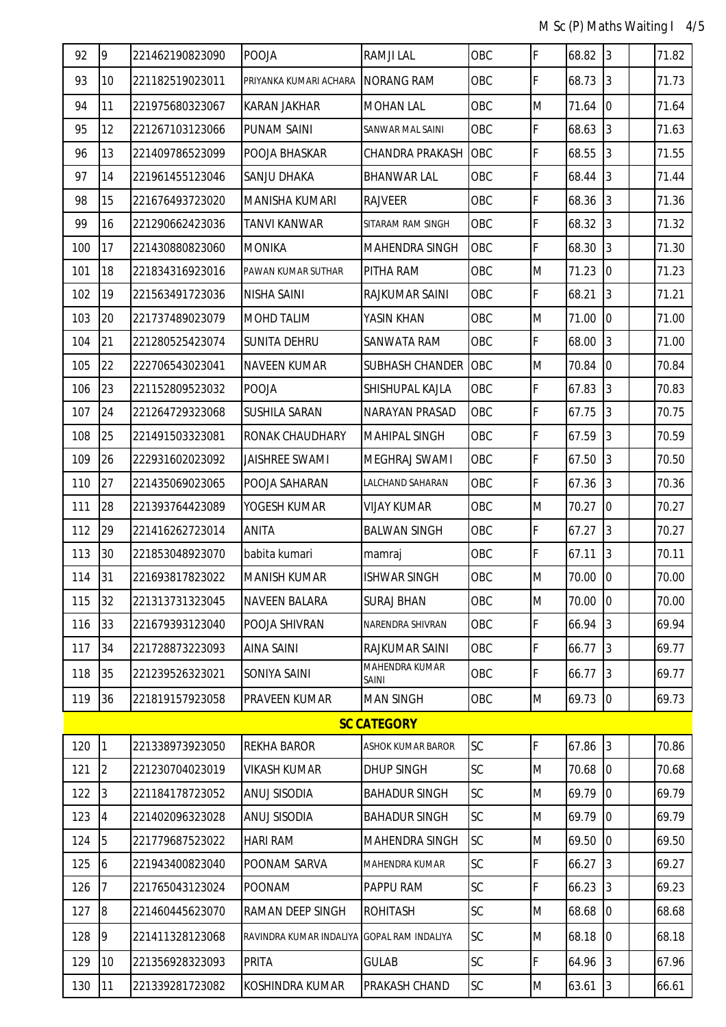| 92  | 9              | 221462190823090 | <b>POOJA</b>                               | <b>RAMJI LAL</b>         | OBC       | F | 68.82   | $\vert$ 3      | 71.82 |
|-----|----------------|-----------------|--------------------------------------------|--------------------------|-----------|---|---------|----------------|-------|
| 93  | 10             | 221182519023011 | PRIYANKA KUMARI ACHARA                     | <b>NORANG RAM</b>        | OBC       | F | 68.73   | 3              | 71.73 |
| 94  | 11             | 221975680323067 | <b>KARAN JAKHAR</b>                        | <b>MOHAN LAL</b>         | OBC       | M | 71.64   | $\overline{0}$ | 71.64 |
| 95  | 12             | 221267103123066 | PUNAM SAINI                                | SANWAR MAL SAINI         | OBC       | F | 68.63   | 3              | 71.63 |
| 96  | 13             | 221409786523099 | POOJA BHASKAR                              | CHANDRA PRAKASH          | OBC       | F | 68.55   | 3              | 71.55 |
| 97  | 14             | 221961455123046 | SANJU DHAKA                                | <b>BHANWAR LAL</b>       | OBC       | F | 68.44   | 3              | 71.44 |
| 98  | 15             | 221676493723020 | <b>MANISHA KUMARI</b>                      | <b>RAJVEER</b>           | OBC       | F | 68.36   | $\overline{3}$ | 71.36 |
| 99  | 16             | 221290662423036 | TANVI KANWAR                               | SITARAM RAM SINGH        | OBC       | F | 68.32   | 3              | 71.32 |
| 100 | 17             | 221430880823060 | <b>MONIKA</b>                              | MAHENDRA SINGH           | OBC       | F | 68.30   | 3              | 71.30 |
| 101 | 18             | 221834316923016 | PAWAN KUMAR SUTHAR                         | PITHA RAM                | OBC       | M | 71.23   | $\overline{0}$ | 71.23 |
| 102 | 19             | 221563491723036 | <b>NISHA SAINI</b>                         | RAJKUMAR SAINI           | OBC       | F | 68.21   | 3              | 71.21 |
| 103 | 20             | 221737489023079 | <b>MOHD TALIM</b>                          | YASIN KHAN               | OBC       | M | 71.00   | $\overline{0}$ | 71.00 |
| 104 | 21             | 221280525423074 | <b>SUNITA DEHRU</b>                        | SANWATA RAM              | OBC       | F | 68.00   | 3              | 71.00 |
| 105 | 22             | 222706543023041 | <b>NAVEEN KUMAR</b>                        | <b>SUBHASH CHANDER</b>   | OBC       | M | 70.84   | $\overline{0}$ | 70.84 |
| 106 | 23             | 221152809523032 | POOJA                                      | SHISHUPAL KAJLA          | OBC       | F | 67.83   | 3              | 70.83 |
| 107 | 24             | 221264729323068 | <b>SUSHILA SARAN</b>                       | NARAYAN PRASAD           | OBC       | F | 67.75   | $\overline{3}$ | 70.75 |
| 108 | 25             | 221491503323081 | RONAK CHAUDHARY                            | <b>MAHIPAL SINGH</b>     | OBC       | F | 67.59   | 3              | 70.59 |
| 109 | 26             | 222931602023092 | <b>JAISHREE SWAMI</b>                      | MEGHRAJ SWAMI            | OBC       | F | 67.50   | 3              | 70.50 |
| 110 | 27             | 221435069023065 | POOJA SAHARAN                              | LALCHAND SAHARAN         | OBC       | F | 67.36   | 3              | 70.36 |
| 111 | 28             | 221393764423089 | YOGESH KUMAR                               | VIJAY KUMAR              | OBC       | M | 70.27   | $\overline{0}$ | 70.27 |
| 112 | 29             | 221416262723014 | <b>ANITA</b>                               | <b>BALWAN SINGH</b>      | OBC       | F | 67.27   | 3              | 70.27 |
| 113 | 30             | 221853048923070 | babita kumari                              | mamraj                   | OBC       | F | 67.11   | 3              | 70.11 |
| 114 | 31             | 221693817823022 | <b>MANISH KUMAR</b>                        | <b>ISHWAR SINGH</b>      | OBC       | M | 70.00   | $\overline{0}$ | 70.00 |
| 115 | 32             | 221313731323045 | <b>NAVEEN BALARA</b>                       | <b>SURAJ BHAN</b>        | OBC       | M | 70.00 0 |                | 70.00 |
| 116 | 33             | 221679393123040 | POOJA SHIVRAN                              | NARENDRA SHIVRAN         | OBC       | F | 66.94   | $\overline{3}$ | 69.94 |
| 117 | 34             | 221728873223093 | <b>AINA SAINI</b>                          | RAJKUMAR SAINI           | OBC       | F | 66.77   | 3              | 69.77 |
| 118 | 35             | 221239526323021 | SONIYA SAINI                               | MAHENDRA KUMAR<br>SAINI  | OBC       | F | 66.77   | 3              | 69.77 |
| 119 | 36             | 221819157923058 | PRAVEEN KUMAR                              | <b>MAN SINGH</b>         | OBC       | M | 69.73   | $\overline{0}$ | 69.73 |
|     |                |                 |                                            | <b>SC CATEGORY</b>       |           |   |         |                |       |
| 120 | 1              | 221338973923050 | <b>REKHA BAROR</b>                         | <b>ASHOK KUMAR BAROR</b> | <b>SC</b> | F | 67.86   | $\overline{3}$ | 70.86 |
| 121 | $\overline{2}$ | 221230704023019 | <b>VIKASH KUMAR</b>                        | <b>DHUP SINGH</b>        | <b>SC</b> | M | 70.68   | $\overline{0}$ | 70.68 |
| 122 | $\overline{3}$ | 221184178723052 | ANUJ SISODIA                               | <b>BAHADUR SINGH</b>     | SC        | M | 69.79   | $\overline{0}$ | 69.79 |
| 123 | 4              | 221402096323028 | <b>ANUJ SISODIA</b>                        | <b>BAHADUR SINGH</b>     | <b>SC</b> | M | 69.79   | $\overline{0}$ | 69.79 |
| 124 | 5              | 221779687523022 | <b>HARI RAM</b>                            | MAHENDRA SINGH           | <b>SC</b> | M | 69.50   | $\overline{0}$ | 69.50 |
| 125 | 6              | 221943400823040 | POONAM SARVA                               | MAHENDRA KUMAR           | <b>SC</b> | F | 66.27   | 3              | 69.27 |
| 126 | 7              | 221765043123024 | <b>POONAM</b>                              | PAPPU RAM                | <b>SC</b> | F | 66.23   | $\overline{3}$ | 69.23 |
| 127 | $\overline{8}$ | 221460445623070 | RAMAN DEEP SINGH                           | <b>ROHITASH</b>          | <b>SC</b> | M | 68.68   | $\overline{0}$ | 68.68 |
| 128 | 9              | 221411328123068 | RAVINDRA KUMAR INDALIYA GOPAL RAM INDALIYA |                          | SC        | M | 68.18   | $\overline{0}$ | 68.18 |
| 129 | 10             | 221356928323093 | PRITA                                      | <b>GULAB</b>             | <b>SC</b> | F | 64.96   | $\overline{3}$ | 67.96 |
| 130 | 11             | 221339281723082 | KOSHINDRA KUMAR                            | PRAKASH CHAND            | SC        | M | 63.61   | 3              | 66.61 |